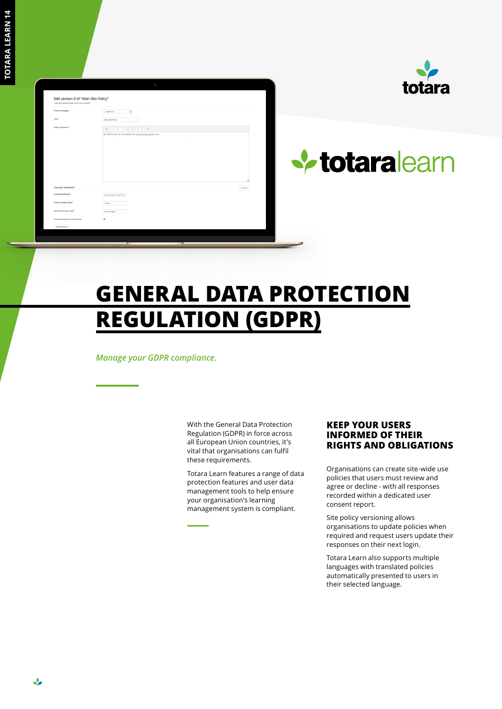❖

| Edit version 3 of "Main Site Policy"<br>There are required fields in this form marked * |                                                                       |        |
|-----------------------------------------------------------------------------------------|-----------------------------------------------------------------------|--------|
| Primary language                                                                        | $\cdot$<br><b>Criglish (en)</b>                                       |        |
| Title <sup>*</sup>                                                                      | Main Site Policy                                                      |        |
| Policy statement <sup>*</sup>                                                           |                                                                       |        |
|                                                                                         | By using this site you must abide by the Terms and Conditions of use. |        |
|                                                                                         |                                                                       |        |
|                                                                                         |                                                                       |        |
|                                                                                         |                                                                       |        |
|                                                                                         |                                                                       |        |
|                                                                                         |                                                                       |        |
|                                                                                         |                                                                       |        |
| Consent statement                                                                       |                                                                       | Remove |
| Consent statement"                                                                      | Do you agree to the Term:                                             |        |
| Provide consent label"                                                                  | Lagree                                                                |        |
| Withhold consent label"                                                                 | I do not agree                                                        |        |
| Consent required to use this site                                                       | ø                                                                     |        |
| Add statement                                                                           |                                                                       |        |



# **V** totaralearn

## **GENERAL DATA PROTECTION REGULATION (GDPR)**

*Manage your GDPR compliance.*

With the General Data Protection Regulation (GDPR) in force across all European Union countries, it's vital that organisations can fulfil these requirements.

Totara Learn features a range of data protection features and user data management tools to help ensure your organisation's learning management system is compliant.

#### **KEEP YOUR USERS INFORMED OF THEIR RIGHTS AND OBLIGATIONS**

Organisations can create site-wide use policies that users must review and agree or decline - with all responses recorded within a dedicated user consent report.

Site policy versioning allows organisations to update policies when required and request users update their responses on their next login.

Totara Learn also supports multiple languages with translated policies automatically presented to users in their selected language.